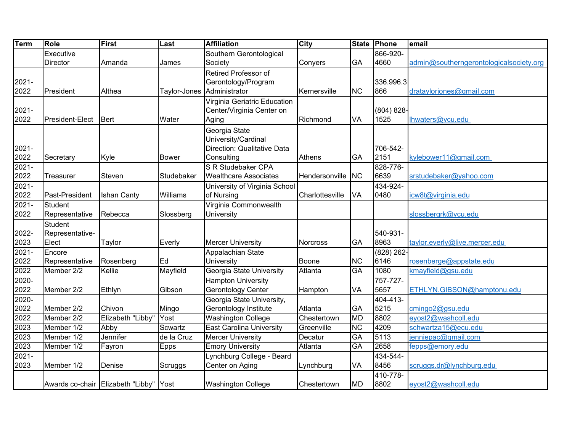| <b>Term</b> | <b>Role</b>     | First                             | Last         | <b>Affiliation</b>              | <b>City</b>     | <b>State</b> | Phone         | email                                   |
|-------------|-----------------|-----------------------------------|--------------|---------------------------------|-----------------|--------------|---------------|-----------------------------------------|
|             | Executive       |                                   |              | Southern Gerontological         |                 |              | 866-920-      |                                         |
|             | <b>Director</b> | Amanda                            | James        | Society                         | Conyers         | GA           | 4660          | admin@southerngerontologicalsociety.org |
|             |                 |                                   |              | Retired Professor of            |                 |              |               |                                         |
| $2021 -$    |                 |                                   |              | Gerontology/Program             |                 |              | 336.996.3     |                                         |
| 2022        | President       | Althea                            | Taylor-Jones | Administrator                   | Kernersville    | <b>NC</b>    | 866           | drataylorjones@gmail.com                |
|             |                 |                                   |              | Virginia Geriatric Education    |                 |              |               |                                         |
| $2021 -$    |                 |                                   |              | Center/Virginia Center on       |                 |              | $(804) 828 -$ |                                         |
| 2022        | President-Elect | <b>Bert</b>                       | Water        | Aging                           | Richmond        | VA           | 1525          | Ihwaters@vcu.edu                        |
|             |                 |                                   |              | Georgia State                   |                 |              |               |                                         |
|             |                 |                                   |              | University/Cardinal             |                 |              |               |                                         |
| 2021-       |                 |                                   |              | Direction: Qualitative Data     |                 |              | 706-542-      |                                         |
| 2022        | Secretary       | Kyle                              | <b>Bower</b> | Consulting                      | <b>Athens</b>   | GA           | 2151          | kylebower11@gmail.com                   |
| 2021-       |                 |                                   |              | S R Studebaker CPA              |                 |              | 828-776-      |                                         |
| 2022        | Treasurer       | Steven                            | Studebaker   | <b>Wealthcare Associates</b>    | Hendersonville  | <b>NC</b>    | 6639          | srstudebaker@yahoo.com                  |
| 2021-       |                 |                                   |              | University of Virginia School   |                 |              | 434-924-      |                                         |
| 2022        | Past-President  | Ishan Canty                       | Williams     | of Nursing                      | Charlottesville | VA           | 0480          | icw8t@virginia.edu                      |
| $2021 -$    | <b>Student</b>  |                                   |              | Virginia Commonwealth           |                 |              |               |                                         |
| 2022        | Representative  | Rebecca                           | Slossberg    | University                      |                 |              |               | slossbergrk@vcu.edu                     |
|             | <b>Student</b>  |                                   |              |                                 |                 |              |               |                                         |
| 2022-       | Representative- |                                   |              |                                 |                 |              | 540-931-      |                                         |
| 2023        | Elect           | Taylor                            | Everly       | <b>Mercer University</b>        | <b>Norcross</b> | GA           | 8963          | taylor.everly@live.mercer.edu           |
| $2021 -$    | Encore          |                                   |              | Appalachian State               |                 |              | $(828)$ 262-  |                                         |
| 2022        | Representative  | Rosenberg                         | Ed           | University                      | Boone           | <b>NC</b>    | 6146          | rosenberge@appstate.edu                 |
| 2022        | Member 2/2      | Kellie                            | Mayfield     | Georgia State University        | Atlanta         | <b>GA</b>    | 1080          | kmayfield@gsu.edu                       |
| 2020-       |                 |                                   |              | <b>Hampton University</b>       |                 |              | 757-727-      |                                         |
| 2022        | Member 2/2      | Ethlyn                            | Gibson       | Gerontology Center              | Hampton         | VA           | 5657          | ETHLYN.GIBSON@hamptonu.edu              |
| 2020-       |                 |                                   |              | Georgia State University,       |                 |              | 404-413-      |                                         |
| 2022        | Member 2/2      | Chivon                            | Mingo        | Gerontology Institute           | Atlanta         | GA           | 5215          | cmingo <sub>2@gsu.edu</sub>             |
| 2022        | Member 2/2      | Elizabeth "Libby"                 | Yost         | <b>Washington College</b>       | Chestertown     | <b>MD</b>    | 8802          | eyost2@washcoll.edu                     |
| 2023        | Member 1/2      | Abby                              | Scwartz      | <b>East Carolina University</b> | Greenville      | <b>NC</b>    | 4209          | schwartza15@ecu.edu                     |
| 2023        | Member 1/2      | Jennifer                          | de la Cruz   | <b>Mercer University</b>        | Decatur         | GA           | 5113          | jenniepac@gmail.com                     |
| 2023        | Member 1/2      | Fayron                            | Epps         | <b>Emory University</b>         | Atlanta         | GA           | 2658          | fepps@emory.edu                         |
| $2021 -$    |                 |                                   |              | Lynchburg College - Beard       |                 |              | 434-544-      |                                         |
| 2023        | Member 1/2      | Denise                            | Scruggs      | Center on Aging                 | Lynchburg       | VA           | 8456          | scruggs.dr@lynchburg.edu                |
|             |                 |                                   |              |                                 |                 |              | 410-778-      |                                         |
|             |                 | Awards co-chair Elizabeth "Libby" | Yost         | <b>Washington College</b>       | Chestertown     | <b>MD</b>    | 8802          | eyost2@washcoll.edu                     |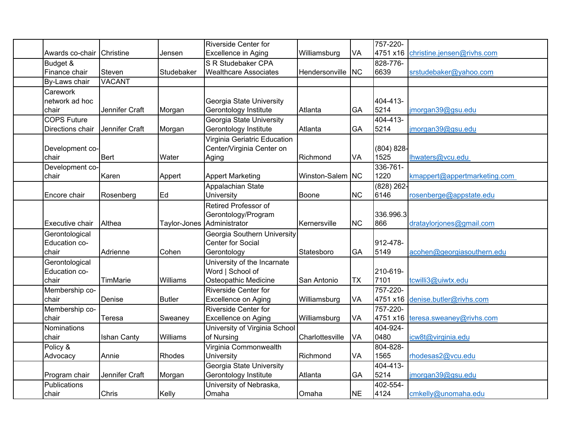|                    |                    |               | <b>Riverside Center for</b>   |                  |            | 757-220-      |                              |
|--------------------|--------------------|---------------|-------------------------------|------------------|------------|---------------|------------------------------|
| Awards co-chair    | Christine          | Jensen        | <b>Excellence in Aging</b>    | Williamsburg     | VA         | 4751 x16      | christine.jensen@rivhs.com   |
| Budget &           |                    |               | S R Studebaker CPA            |                  |            | 828-776-      |                              |
| Finance chair      | Steven             | Studebaker    | <b>Wealthcare Associates</b>  | Hendersonville   | <b>INC</b> | 6639          | srstudebaker@yahoo.com       |
| By-Laws chair      | <b>VACANT</b>      |               |                               |                  |            |               |                              |
| Carework           |                    |               |                               |                  |            |               |                              |
| network ad hoc     |                    |               | Georgia State University      |                  |            | 404-413-      |                              |
| chair              | Jennifer Craft     | Morgan        | Gerontology Institute         | Atlanta          | GA         | 5214          | jmorgan39@gsu.edu            |
| <b>COPS Future</b> |                    |               | Georgia State University      |                  |            | 404-413-      |                              |
| Directions chair   | Jennifer Craft     | Morgan        | Gerontology Institute         | Atlanta          | GA         | 5214          | jmorgan39@gsu.edu            |
|                    |                    |               | Virginia Geriatric Education  |                  |            |               |                              |
| Development co-    |                    |               | Center/Virginia Center on     |                  |            | $(804) 828 -$ |                              |
| chair              | Bert               | Water         | Aging                         | Richmond         | VA         | 1525          | lhwaters@vcu.edu             |
| Development co-    |                    |               |                               |                  |            | 336-761-      |                              |
| chair              | Karen              | Appert        | <b>Appert Marketing</b>       | Winston-Salem NC |            | 1220          | kmappert@appertmarketing.com |
|                    |                    |               | Appalachian State             |                  |            | $(828)$ 262-  |                              |
| Encore chair       | Rosenberg          | Ed            | University                    | <b>Boone</b>     | <b>NC</b>  | 6146          | rosenberge@appstate.edu      |
|                    |                    |               | Retired Professor of          |                  |            |               |                              |
|                    |                    |               | Gerontology/Program           |                  |            | 336.996.3     |                              |
| Executive chair    | Althea             | Taylor-Jones  | Administrator                 | Kernersville     | <b>NC</b>  | 866           | drataylorjones@gmail.com     |
| Gerontological     |                    |               | Georgia Southern University   |                  |            |               |                              |
| Education co-      |                    |               | <b>Center for Social</b>      |                  |            | 912-478-      |                              |
| chair              | Adrienne           | Cohen         | Gerontology                   | Statesboro       | GA         | 5149          | acohen@georgiasouthern.edu   |
| Gerontological     |                    |               | University of the Incarnate   |                  |            |               |                              |
| Education co-      |                    |               | Word   School of              |                  |            | 210-619-      |                              |
| chair              | TimMarie           | Williams      | Osteopathic Medicine          | San Antonio      | <b>TX</b>  | 7101          | tcwilli3@uiwtx.edu           |
| Membership co-     |                    |               | <b>Riverside Center for</b>   |                  |            | 757-220-      |                              |
| chair              | Denise             | <b>Butler</b> | Excellence on Aging           | Williamsburg     | VA         | 4751 x16      | denise.butler@rivhs.com      |
| Membership co-     |                    |               | <b>Riverside Center for</b>   |                  |            | 757-220-      |                              |
| chair              | Teresa             | Sweaney       | Excellence on Aging           | Williamsburg     | VA         | 4751 x16      | teresa.sweaney@rivhs.com     |
| Nominations        |                    |               | University of Virginia School |                  |            | 404-924-      |                              |
| chair              | <b>Ishan Canty</b> | Williams      | of Nursing                    | Charlottesville  | VA         | 0480          | icw8t@virginia.edu           |
| Policy &           |                    |               | Virginia Commonwealth         |                  |            | 804-828-      |                              |
| Advocacy           | Annie              | Rhodes        | University                    | Richmond         | VA         | 1565          | rhodesas2@vcu.edu            |
|                    |                    |               | Georgia State University      |                  |            | 404-413-      |                              |
| Program chair      | Jennifer Craft     | Morgan        | Gerontology Institute         | Atlanta          | GA         | 5214          | jmorgan39@gsu.edu            |
| Publications       |                    |               | University of Nebraska,       |                  |            | 402-554-      |                              |
| chair              | Chris              | Kelly         | Omaha                         | Omaha            | <b>NE</b>  | 4124          | cmkelly@unomaha.edu          |
|                    |                    |               |                               |                  |            |               |                              |